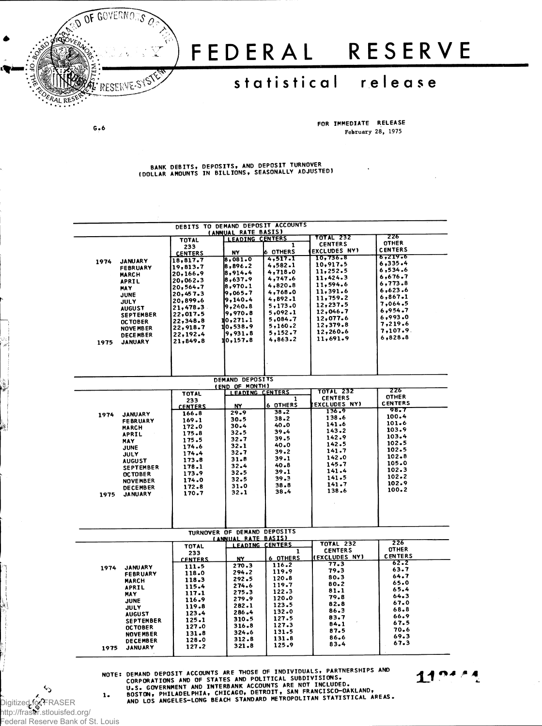

## FEDERAL RESERVE

## statistical release

 $G - 6$ 

FOR IMMEDIATE RELEASE February 28, 1975

BANK DEBITS, DEPOSITS, AND DEPOSIT TURNOVER<br>(DOLLAR AMOUNTS IN BILLIONS, SEASONALLY ADJUSTED)

| DEBITS TO DEMAND DEPOSIT ACCOUNTS |                      |                                                           |                    |                      |                           |  |  |  |  |
|-----------------------------------|----------------------|-----------------------------------------------------------|--------------------|----------------------|---------------------------|--|--|--|--|
| (ANNUAL RATE BASIS)               |                      |                                                           |                    |                      |                           |  |  |  |  |
|                                   | <b>TOTAL</b>         | <b>LEADING CENTERS</b>                                    |                    | <b>TOTAL 232</b>     | 226                       |  |  |  |  |
|                                   | 233                  |                                                           | 1                  | <b>CENTERS</b>       | <b>OTHER</b>              |  |  |  |  |
|                                   | <b>CENTERS</b>       | NY                                                        | <b>6 OTHERS</b>    | <b>EXCLUDES NY)</b>  | <b>CENTERS</b><br>6,219.6 |  |  |  |  |
| 1974<br><b>JANUARY</b>            | 18,817.7             | 8,081.0                                                   | 4,517.1            | 10,736.8             | 6,335.4                   |  |  |  |  |
| <b>FEBRUARY</b>                   | 19,813.7             | 8,896.2                                                   | 4,582.1            | 10,917.5<br>11,252.5 | 6,534.6                   |  |  |  |  |
| <b>MARCH</b>                      | 20,166.9             | 8,914.4                                                   | 4,718.0            | 11,424.3             | 6,676.7                   |  |  |  |  |
| <b>APRIL</b>                      | 20,062.3             | 8,637.9                                                   | 4,747.6<br>4,820.8 | 11,594.6             | 6,773.8                   |  |  |  |  |
| <b>MAY</b>                        | 20,564.7             | 8,970.1                                                   | 4,768.0            | 11,391.6             | 6,623.6                   |  |  |  |  |
| <b>JUNE</b>                       | 20,457.3             | 9,065.7<br>9,140.4                                        | 4,892.1            | 11,759.2             | 6,867.1                   |  |  |  |  |
| JULY                              | 20,899.6             | 9,240.8                                                   | 5,173.0            | 12,237.5             | 7,064.5                   |  |  |  |  |
| <b>AUGUST</b>                     | 21,478.3<br>22,017.5 | 9,970.8                                                   | 5,092.1            | 12,046.7             | 6,954.7                   |  |  |  |  |
| <b>SEPTEMBER</b>                  | 22,348.8             | 10,271.1                                                  | 5,084.7            | 12,077.6             | 6,993.0                   |  |  |  |  |
| <b>OCTOBER</b><br>NOVE MB ER      | 22,918.7             | 10,538.9                                                  | 5,160.2            | 12,379.8             | 7.219.6                   |  |  |  |  |
| <b>DECEMBER</b>                   | 22,192.4             | 9,931.8                                                   | 5,152.7            | 12,260.6             | $7,107.9$ .               |  |  |  |  |
| <b>JANUARY</b><br>1975            | 21,849.8             | 10.157.8                                                  | 4,863.2            | 11,691.9             | 6,828.8                   |  |  |  |  |
|                                   |                      |                                                           |                    |                      |                           |  |  |  |  |
|                                   |                      |                                                           |                    |                      |                           |  |  |  |  |
|                                   |                      |                                                           |                    |                      |                           |  |  |  |  |
|                                   |                      |                                                           |                    |                      |                           |  |  |  |  |
|                                   |                      |                                                           |                    |                      |                           |  |  |  |  |
|                                   |                      | DEMAND DEPOSITS<br>(END OF MONTH)                         |                    |                      |                           |  |  |  |  |
|                                   | <b>TOTAL</b>         | <b>LEADING CENTERS</b>                                    |                    | <b>TOTAL 232</b>     | 226                       |  |  |  |  |
|                                   | 233                  |                                                           | 1                  | <b>CENTERS</b>       | <b>OTHER</b>              |  |  |  |  |
|                                   | <b>CENTERS</b>       | NY                                                        | 6 OTHERS           | <b>EXCLUDES NY)</b>  | <b>CENTERS</b><br>98.7    |  |  |  |  |
| <b>JANUARY</b><br>1974            | 166.8                | 29.9                                                      | 38.2               | 136.9                | 100.4                     |  |  |  |  |
| <b>FEBRUARY</b>                   | 169.1                | 30.5                                                      | 38.2               | 138.6<br>141.6       | 101.6                     |  |  |  |  |
| <b>MARCH</b>                      | 172.0                | 30.4                                                      | 40.0               | 143.2                | 103.9                     |  |  |  |  |
| <b>APRIL</b>                      | 175.8                | 32.5                                                      | 39.4               | 142.9                | 103.4                     |  |  |  |  |
| MAY                               | 175.5                | 32.7                                                      | 39.5               | 142.5                | 102.5                     |  |  |  |  |
| <b>JUNE</b>                       | 174.6                | 32.1                                                      | 40.0<br>39.2       | 141.7                | 102.5                     |  |  |  |  |
| JULY                              | 174.4                | 32.7                                                      | 39.1               | 142.0                | 102.8                     |  |  |  |  |
| <b>AUGUST</b>                     | 173.8                | 31.8<br>32.4                                              | $40 - 8$           | 145.7                | 105.0                     |  |  |  |  |
| <b>SEPTEMBER</b>                  | 178.1                | 32.5                                                      | 39.1               | 141.4                | 102.3                     |  |  |  |  |
| <b>OCTOBER</b>                    | 173.9                | 32.5                                                      | 39.3               | 141.5                | 102.2                     |  |  |  |  |
| <b>NOVEMBER</b>                   | 174.0<br>172.8       | 31.0                                                      | 38.8               | 141.7                | 102.9                     |  |  |  |  |
| <b>DECEMBER</b>                   | 170.7                | 32.1                                                      | 38.4               | 138.6                | 100.2                     |  |  |  |  |
| 1975<br>JANUARY                   |                      |                                                           |                    |                      |                           |  |  |  |  |
|                                   |                      |                                                           |                    |                      |                           |  |  |  |  |
|                                   |                      |                                                           |                    |                      |                           |  |  |  |  |
|                                   |                      |                                                           |                    |                      |                           |  |  |  |  |
|                                   |                      |                                                           |                    |                      |                           |  |  |  |  |
|                                   |                      | TURNOVER OF DEMAND DEPOSITS<br><b>(ANNUAL RATE BASIS)</b> |                    |                      |                           |  |  |  |  |
|                                   | <b>TOTAL</b>         | <b>LEADING CENTERS</b>                                    |                    | <b>TOTAL 232</b>     | 226                       |  |  |  |  |
|                                   | 233                  |                                                           | 1                  | <b>CENTERS</b>       | <b>OTHER</b>              |  |  |  |  |
|                                   | <b>CENTERS</b>       | NY                                                        | <b>6 OTHERS</b>    | <b>(EXCLUDES NY)</b> | <b>CENTERS</b>            |  |  |  |  |
| <b>JANUARY</b><br>1974            | 111.5                | 270.3                                                     | 116.2              | 77.3                 | 62.2                      |  |  |  |  |
| <b>FEBRUARY</b>                   | 118.0                | 294.2                                                     | 119.9              | 79.3                 | 63.7                      |  |  |  |  |
| MARCH                             | 118.3                | 292.5                                                     | $120 - 8$          | 80.3                 | 64.7                      |  |  |  |  |
| <b>APRIL</b>                      | 115.4                | 274.6                                                     | 119.7              | 80.2                 | 65.0<br>65.4              |  |  |  |  |
| <b>MAY</b>                        | 117.1                | 275.3                                                     | 122.3              | 81.1                 | 64.3                      |  |  |  |  |
| <b>JUNE</b>                       | 116.9                | 279.9                                                     | 120.0              | 79.8                 | 67.0                      |  |  |  |  |
| JULY                              | 119.8                | 282.1                                                     | 123.5              | 82.8                 | 68.8                      |  |  |  |  |
| <b>AUGUST</b>                     | 123.4                | 286.4                                                     | 132.0              | 86.3                 | 66.9                      |  |  |  |  |
| <b>SEPTEMBER</b>                  | 125.1                | 310.5                                                     | 127.5              | 83.7<br>84.1         | 67.5                      |  |  |  |  |
| <b>OCTOBER</b>                    | 127.0                | 316.8                                                     | 127.3              | 87.5                 | 70.6                      |  |  |  |  |
| <b>NOVEMBER</b>                   | 131.8                | 324.6                                                     | 131.5              | 86.6                 | 69.3                      |  |  |  |  |
| <b>DECEMBER</b>                   | 128.0                | 312.8                                                     | 131.8              | 83.4                 | 67.3                      |  |  |  |  |
| <b>JANUARY</b><br>1975            | 127.2                | 321.8                                                     | 125.9              |                      |                           |  |  |  |  |
|                                   |                      |                                                           |                    |                      |                           |  |  |  |  |

NOTE: DEMAND DEPOSIT ACCOUNTS ARE THOSE OF INDIVIDUALS, PARTNERSHIPS AND<br>CORPORATIONS AND OF STATES AND POLITICAL SUBDIVISIONS.<br>U.S. GOVERNMENT AND INTERBANK ACCOUNTS ARE NOT INCLUDED.<br>BOSTON, PHILADELPHIA, CHICAGO, DETROI

 $11^{04}$ 

Digitized for FRASER<br>http://fraser.stlouisfed.org/ ederal Reserve Bank of St. Louis

ς.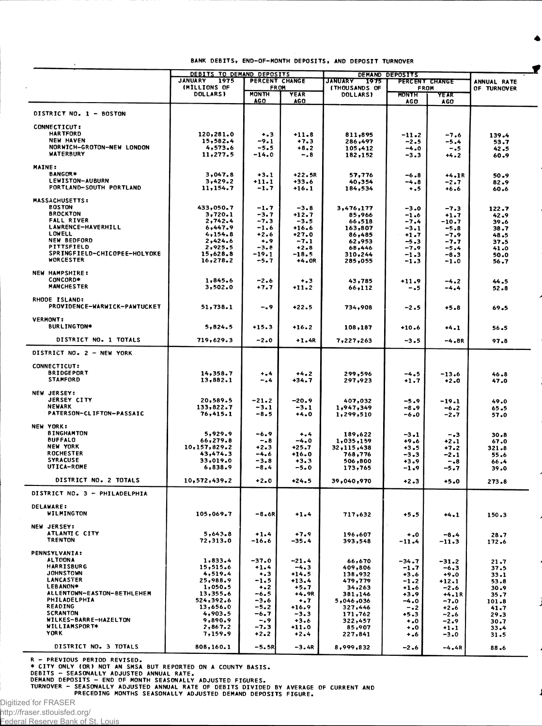|                                                  | DEBITS TO DEMAND DEPOSITS |                            |                   | DEMAND DEPOSITS        |                            |                    |                  |
|--------------------------------------------------|---------------------------|----------------------------|-------------------|------------------------|----------------------------|--------------------|------------------|
|                                                  | <b>JANUARY</b><br>1975    | PERCENT CHANGE             |                   | <b>JANUARY</b><br>1975 | PERCENT CHANGE             |                    | ANNUAL RATE      |
|                                                  | (MILLIONS OF              | <b>FROM</b>                |                   | <b>ITHOUSANDS OF</b>   | FROM                       |                    | OF TURNOVER      |
|                                                  | <b>DOLLARS)</b>           | <b>MONTH</b><br><b>AGO</b> | YEAR<br>AG O      | <b>DOLLARS)</b>        | <b>MONTH</b><br><b>AGO</b> | YEAR<br><b>AGO</b> |                  |
| DISTRICT NO. 1 - BOSTON                          |                           |                            |                   |                        |                            |                    |                  |
|                                                  |                           |                            |                   |                        |                            |                    |                  |
| <b>CONNECTICUT:</b><br><b>HARTFORD</b>           | 120,281.0                 | $+3$                       | $+11.8$           |                        |                            |                    |                  |
| <b>NEW HAVEN</b>                                 | 15,582.4                  | $-9.1$                     | $+7.3$            | 811,895<br>286,497     | $-11.2$<br>$-2.5$          | $-7.6$<br>$-5.4$   | 139.4<br>53.7    |
| NORWICH-GROTON-NEW LONDON                        | 4,573.6                   | -5.5                       | $+8.2$            | 105,412                | $-4.0$                     | $-.5$              | 42.5             |
| <b>WATERBURY</b>                                 | 11,277.5                  | $-14.0$                    | -.8               | 182,152                | -3.3                       | $+4.2$             | 60.9             |
| <b>MAINE:</b>                                    |                           |                            |                   |                        |                            |                    |                  |
| <b>BANGOR*</b>                                   | 3,047.8                   | $+3.1$                     | $+22.5R$          | 57,776                 | $-6.8$                     | $+4.1R$            | 50.9             |
| <b>LEWISTON-AUBURN</b>                           | 3,429.2                   | $+11.1$                    | +33.6             | 40,354                 | -4.8                       | $-2.7$             | 82.9             |
| PORTLAND-SOUTH PORTLAND                          | 11,154.7                  | $-1.7$                     | $+16.1$           | 184,534                | $+ .5$                     | $+6.6$             | 60.6             |
|                                                  |                           |                            |                   |                        |                            |                    |                  |
| <b>MASSACHUSETTS:</b><br><b>BOSTON</b>           | 433,050.7                 | $-1.7$                     | $-3.8$            | 3,476,177              |                            |                    |                  |
| <b>BROCKTON</b>                                  | 3,720.1                   | $-3.7$                     | $+12.7$           | 85,966                 | $-3.0$<br>$-1.6$           | $-7.3$<br>$+1.7$   | 122.7<br>42.9    |
| <b>FALL RIVER</b>                                | 2,742.4                   | -7.3                       | $-3.5$            | 66,518                 | $-7.4$                     | $-10.7$            | 39.6             |
| LAWRENCE-HAVERHILL                               | 6,447.9                   | $-1.6$                     | $+16.6$           | 163,807                | $-3.1$                     | $-5.8$             | 38.7             |
| <b>LOWELL</b>                                    | 4,154.8                   | $+2.6$                     | $+27.0$           | 86,485                 | $+1.7$                     | $-7.9$             | 48.5             |
| <b>NEW BEDFORD</b>                               | 2,424.6                   | $^{+.9}$                   | $-7.1$            | 62,953                 | $-5.3$                     | $-7.7$             | 37.5             |
| PITTSFIELD<br>SPRINGFIELD-CHICOPEE-HOLYOKE       | 2,925.5                   | $-3.8$                     | $+2.8$            | 68,446                 | -7.9                       | $-5.4$             | 41.0             |
| <b>WORCESTER</b>                                 | 15,628.8<br>16, 278.2     | $-19.1$<br>-5.7            | -18.5<br>+4.OR    | 310,244<br>285,055     | $-1.3$                     | $-8.3$             | 50.0             |
|                                                  |                           |                            |                   |                        | -1.3                       | $-1.0$             | 56.7             |
| <b>NEW HAMPSHIRE:</b>                            |                           |                            |                   |                        |                            |                    |                  |
| CONCORD*                                         | 1,845.6                   | $-2.6$                     | $+ 3$             | 43,785                 | $+11.9$                    | $-4.2$             | 44.5             |
| <b>MANCHESTER</b>                                | 3,502.0                   | $+7.7$                     | $+11.2$           | 66,112                 | -.5                        | $-4.4$             | 52.8             |
| RHODE ISLAND:                                    |                           |                            |                   |                        |                            |                    |                  |
| PROVIDENCE-WARWICK-PAWTUCKET                     | 51,738.1                  | -. 9                       | $+22.5$           | 734,908                | -2.5                       | $+5.8$             | 69.5             |
|                                                  |                           |                            |                   |                        |                            |                    |                  |
| <b>VERMONT:</b>                                  |                           |                            |                   |                        |                            |                    |                  |
| <b>BURLINGTON*</b>                               | 5,824.5                   | $+15.3$                    | $+16.2$           | 108,187                | $+10.6$                    | $+4.1$             | 56.5             |
| DISTRICT NO. 1 TOTALS                            | 719,629.3                 | $-2.0$                     | $+1.4R$           | 7,227,263              | $-3.5$                     | $-4.8R$            | 97.8             |
|                                                  |                           |                            |                   |                        |                            |                    |                  |
| DISTRICT NO. 2 - NEW YORK                        |                           |                            |                   |                        |                            |                    |                  |
| <b>CONNECTICUT:</b>                              |                           |                            |                   |                        |                            |                    |                  |
| <b>BRIDGEPORT</b>                                | 14,358.7                  | $+ - 4$                    | $+4.2$            | 299,596                | $-4.5$                     | $-13.6$            | $46 - 8$         |
| <b>STAMFORD</b>                                  | 13,882.1                  | $-0.4$                     | +34.7             | 297,923                | $+1.7$                     | $+2.0$             | 47.0             |
|                                                  |                           |                            |                   |                        |                            |                    |                  |
| <b>NEW JERSEY:</b>                               |                           |                            |                   |                        |                            |                    |                  |
| <b>JERSEY CITY</b>                               | 20,589.5                  | $-21-2$                    | $-20.9$           | 407,032                | $-5.9$                     | $-19.1$            | 49.0             |
| <b>NEWARK</b><br><b>PATERSON-CLIFTON-PASSAIC</b> | 133,822.7                 | $-3.1$                     | $-3.1$            | 1,947,349              | $-8.9$                     | $-6.2$             | $65 - 5$         |
|                                                  | 76,415.1                  | $-8.5$                     | $+4.0$            | 1,299,510              | $-6.0$                     | -2.7               | 57.0             |
| NEW YORK:                                        |                           |                            |                   |                        |                            |                    |                  |
| <b>BINGHAMTON</b>                                | 5,929.9                   | -6.9                       | $+ 1.4$           | 189,622                | $-3.1$                     | $-3$               | $30 - 8$         |
| <b>BUFFALO</b>                                   | 66, 279.8                 | $-0.8$                     | $-4.0$            | 1,035,159              | $+9.6$                     | $+2.1$             | 67.0             |
| NEW YORK                                         | 10,157,829.2              | $+2.3$                     | $+25.7$           | 32,115,438             | $+3.5$                     | $+7.2$             | 321.8            |
| <b>ROCHESTER</b>                                 | 43,474.3                  | $-4.6$                     | $+16.0$           | 768,776                | $-3.3$                     | -2.1               | 55.6             |
| <b>SYRACUSE</b><br>UTICA-ROME                    | 33,019.0                  | $-3.8$                     | $+3.3$            | 506,800                | $+3.9$                     | $-.8$              | 66.4             |
|                                                  | 6,838.9                   | -8.4                       | -5.0              | 173,765                | -1.9                       | -5.7               | 39.0             |
| DISTRICT NO. 2 TOTALS                            | 10,572,439.2              | $+2.0$                     | $+24.5$           | 39,040,970             | $+2.3$                     | $+5.0$             | 273.8            |
| DISTRICT NO. 3 - PHILADELPHIA                    |                           |                            |                   |                        |                            |                    |                  |
|                                                  |                           |                            |                   |                        |                            |                    |                  |
| <b>DELAWARE:</b>                                 |                           |                            |                   |                        |                            |                    |                  |
| <b>WILMINGTON</b>                                | 105,069.7                 | $-8.6R$                    | $+1.4$            | 717,632                | $+5.5$                     | $+4.1$             | $150 - 3$        |
| NEW JERSEY:                                      |                           |                            |                   |                        |                            |                    |                  |
| ATLANTIC CITY                                    | 5,643.8                   | $+1.4$                     | $+7.9$            | 196,607                | $\ddotsc$                  | $-8.4$             | 28.7             |
| <b>TRENTON</b>                                   | 72,313.0                  | $-16.6$                    | -35.4             | 393,548                | $-11.4$                    | $-11.3$            | 172.6            |
|                                                  |                           |                            |                   |                        |                            |                    |                  |
| <b>PENNSYLVANIA:</b><br><b>ALTOONA</b>           |                           |                            |                   |                        |                            |                    |                  |
| HARRISBURG                                       | 1,833.4<br>15,515.6       | $-37.0$<br>$+1.4$          | $-21.4$<br>$-4.3$ | 66,670<br>409,806      | -34.7                      | $-31.2$            | 21.7             |
| <b>JOHNSTOWN</b>                                 | 4,519.4                   | $+ 3$                      | $+14.5$           | 138,932                | $-1.7$<br>$+3.6$           | $-6.3$<br>$+9.0$   | 37.5<br>$33 - 1$ |
| <b>LANCASTER</b>                                 | 25,988.9                  | -1.5                       | $+13.4$           | 479,779                | $-1.2$                     | +12.1              | 53.8             |
| <b>LEBANON*</b>                                  | 1,050.5                   | $+$ .2                     | $+5.7$            | 34,263                 | $+1.6$                     | $-2.6$             | 30.9             |
| ALLENTOWN-EASTON-BETHLEHEM                       | 13,355.6                  | -6.5                       | $+4.9R$           | 381,146                | $+3.9$                     | $+4.1R$            | 35.7             |
| PHILADELPHIA                                     | 524,392.6                 | -3.6                       | $\ddotsc$         | 5,046,036              | -4.0                       | $-7.0$             | 101.8            |
| <b>READING</b>                                   | 13,656.0                  | $-5.2$                     | +16.9             | 327,446                | $-0.2$                     | $+2.6$             | 41.7             |
| <b>SCRANTON</b>                                  | 4,903.5                   | -6.7                       | $-3.3$            | 171,762                | +5.3                       | $-2.6$             | 29.3             |
| WILKES-BARRE-HAZELTON<br>WILLIAMSPORT*           | 9,890.9<br>2,867.2        | -.9<br>-7.3                | $+3.6$<br>$+11.0$ | 322,457                | $\ddotsc$                  | $-2.9$             | 30.7             |
| <b>YORK</b>                                      | 7,159.9                   | $+2.2$                     | $+2.4$            | 85,907<br>227,841      | $\ddotsc$<br>۰.۶           | $+1.1$<br>$-3.0$   | $33 - 4$<br>31.5 |
|                                                  |                           |                            |                   |                        |                            |                    |                  |
| DISTRICT NO. 3 TOTALS                            | 808,160.1                 | $-5.5R$                    | $-3.4R$           | 8,999,832              | -2.6                       | $-4.4R$            | 88.6             |

R - PREVIOUS PERIOD REVISED.<br>
\* CITY ONLY (OR) NOT AN SMSA BUT REPORTED ON A COUNTY BASIS.<br>
DEBITS - SEASONALLY ADJUSTED ANNUAL RATE.<br>
DEMAND DEPOSITS - END OF MONTH SEASONALLY ADJUSTED FIGURES.<br>
TURNOVER - SEASONALLY ADJU

Digitized for FRASER<br>http://fraser.stlouisfed.org/

Federal Reserve Bank of St. Louis

◢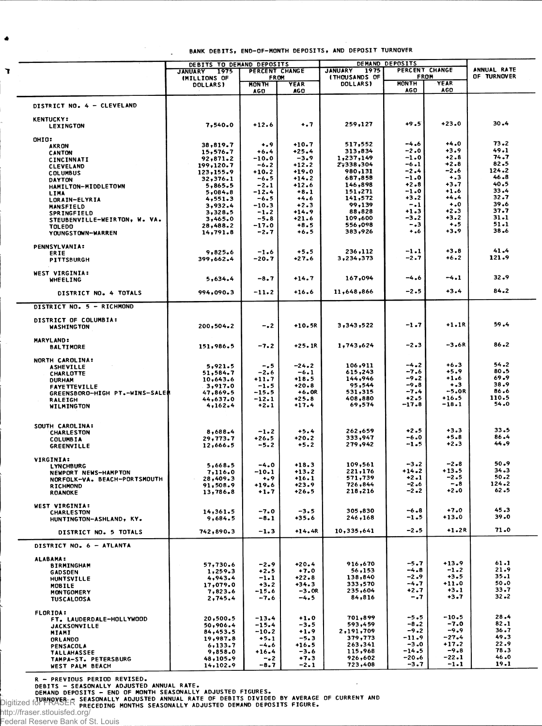$\overline{\phantom{a}}$ 

|                                                       | DEBITS TO DEMAND DEPOSITS       |                             |                     | DEMAND DEPOSITS        |                                                       |                    | ANNUAL RATE        |
|-------------------------------------------------------|---------------------------------|-----------------------------|---------------------|------------------------|-------------------------------------------------------|--------------------|--------------------|
|                                                       | <b>JANUARY</b><br>1975          | PERCENT CHANGE<br>FROM      |                     | <b>JANUARY</b><br>1975 | PERCENT CHANGE<br><b>FROM</b><br><b>(THOUSANDS OF</b> |                    |                    |
|                                                       | (MILLIONS OF<br><b>DOLLARS)</b> | <b>MON TH</b><br><b>AGO</b> | <b>YEAR</b><br>AG O | <b>DOLLARS</b>         | <b>MONTH</b><br><b>AGO</b>                            | <b>YEAR</b><br>AGO | <b>OF TURNOVER</b> |
| DISTRICT NO. 4 - CLEVELAND                            |                                 |                             |                     |                        |                                                       |                    |                    |
| <b>KENTUCKY:</b><br><b>LEXINGTON</b>                  | 7,540.0                         | $+12.6$                     | $\ddotsc$           | 259,127                | $+9.5$                                                | $+23.0$            | 30.4               |
| OHIO:                                                 |                                 |                             |                     |                        |                                                       |                    |                    |
| <b>AKRON</b>                                          | 38,819.7                        | $^{+.9}$                    | $+10.7$             | 517,552                | $-4.6$<br>-2.0                                        | $+4.0$<br>$+3.9$   | 73.2<br>49.1       |
| <b>CANTON</b>                                         | 15,576.7<br>92,871.2            | $+6.4$<br>$-10.0$           | $+25.4$<br>$-3.9$   | 313,834<br>1,237,149   | $-1.0$                                                | $+2.8$             | 74.7               |
| CINCINNATI<br><b>CLEVELAND</b>                        | 199,120.7                       | $-6.2$                      | $+12.2$             | 2,338,304              | -6.1                                                  | $+2.8$             | 82.5               |
| <b>COLUMBUS</b>                                       | 123,155.9                       | $+10.2$                     | $+19.0$             | 980,131                | $-2.4$                                                | -2.6               | 124.2              |
| DAYTON                                                | 32,376.1                        | -6.5                        | $+14.2$             | 687,858                | $-1.0$                                                | $+ 3$              | 46.8               |
| HAMILTON-MIDDLETOWN                                   | 5,865.5                         | -2.1                        | $+12.6$             | 146,898                | $+2 - 8$                                              | +3.7<br>+1.6       | 40.5<br>33.4       |
| LIMA                                                  | 5,084.8<br>4,551.3              | -12.4<br>-6.5               | $+8.1$<br>$+4.6$    | 151,271<br>141,572     | $-1.0$<br>$+3.2$                                      | $+4.4$             | 32.7               |
| LORAIN-ELYRIA<br><b>MANSFIELD</b>                     | 3,932.4                         | $-10.3$                     | $+2.3$              | 99,139                 | $-.1$                                                 | $\ddotsc$          | 39.6               |
| <b>SPRINGFIELD</b>                                    | 3,328.5                         | $-1.2$                      | $+14.9$             | 88,828                 | $+1.3$                                                | $+2.3$             | 37.7               |
| STEUBENVILLE-WEIRTON, W. VA.                          | 3,465.0                         | $-5.8$                      | $+21.6$             | 109,600                | -3.2                                                  | $+3.2$             | $31 - 1$           |
| <b>TOLEDO</b>                                         | 28,488.2                        | -17.0                       | $+8.5$              | 556,098                | $-1.3$                                                | $+ 5$              | $51 - 1$           |
| YOUNGSTOWN-WARREN                                     | 14,791.8                        | -2.7                        | +6.5                | 383,926                | $+ 0.6$                                               | $+3.9$             | 38.6               |
| <b>PENNSYLVANIA:</b>                                  | 9,825.6                         | $-1.6$                      | $+5.5$              | 236,112                | -1.1                                                  | $+3.8$             | 41.4               |
| ERIE<br><b>PITTSBURGH</b>                             | 399,662.4                       | -20.7                       | $+27.6$             | 3,234,373              | $-2.7$                                                | $+6.2$             | 121.9              |
|                                                       |                                 |                             |                     |                        |                                                       |                    |                    |
| <b>WEST VIRGINIA:</b><br><b>WHEELING</b>              | 5,634.4                         | -8.7                        | $+14.7$             | 167,094                | -4.6                                                  | $-4.1$             | 32.9               |
| DISTRICT NO. 4 TOTALS                                 | 994,090.3                       | $-11.2$                     | $+16.6$             | 11,648,866             | $-2.5$                                                | $+3.4$             | 84.2               |
| DISTRICT NO. 5 - RICHMOND                             |                                 |                             |                     |                        |                                                       |                    |                    |
| <b>DISTRICT OF COLUMBIA:</b><br><b>WASHINGTON</b>     | 200,504.2                       | $-0.2$                      | $+10.5R$            | 3,343,522              | $-1.7$                                                | $+1.1R$            | 59.4               |
| <b>MARYLAND:</b><br><b>BALTIMORE</b>                  | 151,986.5                       | -7.2                        | $+25.1R$            | 1,743,624              | $-2.3$                                                | –3.6R              | 86.2               |
| NORTH CAROLINA:                                       |                                 |                             |                     |                        |                                                       |                    |                    |
| <b>ASHEVILLE</b>                                      | 5,921.5                         | -.5                         | $-24.2$             | 106,911                | $-4.2$                                                | $+6.3$             | 54.2               |
| CHARLOTTE                                             | 51,584.7                        | -2.6                        | $-6.1$              | 615,243                | $-7.6$<br>$-9.2$                                      | $+5.9$<br>$+1.6$   | 80.5<br>69.9       |
| <b>DURHAM</b>                                         | 10,643.6<br>3,917.0             | +11.7<br>$-1.5$             | +18.5<br>+20.8      | 144,946<br>95,544      | $-9.8$                                                | $+ 3$              | 38.9               |
| <b>FAYETTEVILLE</b><br>GREENSBORO-HIGH PT.-WINS-SALE# | 47,869.5                        | -15.5                       | $+6.0R$             | 531,315                | $-7.4$                                                | -5.OR              | 86.6               |
| <b>RALEIGH</b>                                        | 44,637.0                        | $-12.1$                     | $+25.8$             | 408,880                | $+2.5$                                                | $+16.5$            | 110.5              |
| WILMINGTON                                            | 4,162.4                         | $+2.1$                      | +17.4               | 69,574                 | $-17.8$                                               | -18.1              | 54.0               |
| SOUTH CAROLINA:                                       |                                 |                             |                     |                        |                                                       |                    |                    |
| <b>CHARLESTON</b>                                     | 8,688.4                         | $-1.2$                      | $+5.4$              | 262,659                | $+2.5$                                                | $+3.3$             | 33.5               |
| <b>COLUMBIA</b>                                       | 29,773.7                        | +26.5                       | +20.2               | 333,947                | $-6.0$                                                | $+5.8$             | 86.4               |
| <b>GREENVILLE</b>                                     | 12,666.5                        | -5.2                        | $+5.2$              | 279,942                | $-1.5$                                                | $+2.3$             | 44.9               |
| <b>VIRGINIA:</b><br><b>LYNCHBURG</b>                  | 5,668.5                         | $-4.0$                      | $+18.3$             | 109,561                | $-3.2$                                                | $-2 - 8$           | 50.9               |
| NEWPORT NEWS-HAMPTON                                  | 7,116.0                         | $-10.1$                     | +13.2               | 221,176                | $+14.2$                                               | $+13.5$            | $34 - 3$           |
| NORFOLK-VA. BEACH-PORTSMOUTH                          | 28,409.3                        | $+0.9$                      | +16.1               | 571,739                | +2.1                                                  | -2.5               | 50.2               |
| <b>RICHMOND</b>                                       | 91,508.9                        | $+19.6$                     | +23.9               | 726,844                | $-2.6$                                                | $-18$              | $124 - 2$          |
| <b>ROANOKE</b>                                        | 13,786.8                        | $+1.7$                      | $+26.5$             | 218,216                | -2.2                                                  | $+2.0$             | $62 - 5$           |
| WEST VIRGINIA:                                        |                                 | $-7.0$                      | $-3.5$              | 305,830                | $-6.8$                                                | $+7.0$             | 45.3               |
| <b>CHARLESTON</b><br>HUNTINGTON-ASHLAND, KY.          | 14,361.5<br>9,684.5             | $-8.1$                      | +35.6               | 246,168                | -1.5                                                  | +13.0              | 39.0               |
| DISTRICT NO. 5 TOTALS                                 | 742,890.3                       | $-1.3$                      | $+14.4R$            | 10,335,641             | $-2.5$                                                | $+1.2R$            | 71.0               |
| DISTRICT NO. 6 - ATLANTA                              |                                 |                             |                     |                        |                                                       |                    |                    |
| <b>ALABAMA:</b>                                       |                                 |                             |                     |                        |                                                       |                    |                    |
| <b>BIRMINGHAM</b>                                     | 57,730.6                        | $-2.9$                      | $+20.4$             | 916,670                | -5.7                                                  | $+13.9$            | 61.1               |
| <b>GADSDEN</b>                                        | 1,259.3                         | $+2.5$                      | $+7.0$              | 56,153                 | $-4.8$                                                | $-1.2$<br>$+3.5$   | 21.9<br>35.1       |
| <b>HUNTSVILLE</b>                                     | 4,943.4                         | $-1.1$<br>$+3.2$            | $+22.8$<br>$+34.3$  | 138,840<br>333,570     | $-2.9$<br>-4.7                                        | $+11.0$            | 50.0               |
| <b>MOBILE</b><br><b>MONTGOMERY</b>                    | 17,079.0<br>7,823.6             | $-15.6$                     | $-3.0R$             | 235,604                | $+2.7$                                                | $+3.1$             | 33.7               |
| <b>TUSCALOOSA</b>                                     | 2,745.4                         | -7.6                        | $-4.5$              | 84,816                 | $-1.7$                                                | $+3.7$             | $32 - 2$           |
| <b>FLORIDA:</b>                                       |                                 |                             |                     |                        |                                                       |                    |                    |
| FT. LAUDERDALE-HOLLYWOOD                              | 20,500.5                        | $-13.4$                     | $+1.0$              | 701,899                | $-5.5$                                                | $-10.5$<br>$-7.0$  | 28.4<br>$82 - 1$   |
| <b>JACKSONVILLE</b>                                   | 50,906.4                        | $-15.4$<br>$-10.2$          | $-3.5$<br>$+1.9$    | 593,459<br>2,191,709   | $-8.2$<br>$-9.2$                                      | $-9.9$             | 36.7               |
| MIAMI<br><b>ORLANDO</b>                               | 84,453.5<br>19,987.8            | $+5.1$                      | $-5.3$              | 379,773                | $-11.9$                                               | $-27.4$            | 49.3               |
| PENSACOLA                                             | 6,133.7                         | $-4.6$                      | $+16.5$             | 263,341                | $-3.0$                                                | $+17.2$            | 22.9               |
| <b>TALLAHASSEE</b>                                    | 9,858.0                         | $+16.4$                     | $-3.6$              | 115,968                | -14.5                                                 | $-9.8$             | 78.3               |
| TAMPA-ST. PETERSBURG                                  | 48,105.9                        | $-0.2$                      | $+7.3$              | 926,602                | $-20.6$                                               | -22.1              | 46.0<br>19.1       |
| WEST PALM BEACH                                       | 14,102.9                        | -8.7                        | $-2.1$              | 723,408                | $-3.7$                                                | $-1.1$             |                    |

R - PREVIOUS PERIOD REVISED.<br>
DEBITS - SEASONALLY ADJUSTED ANNUAL RATE.<br>
DEMAND DEPOSITS - END OF MONTH SEASONALLY ADJUSTED FIGURES.<br>
Digitized for thomage of the seasonally adjusted annual rate of debits divided by averag

 $\bullet$ 

 $\bullet$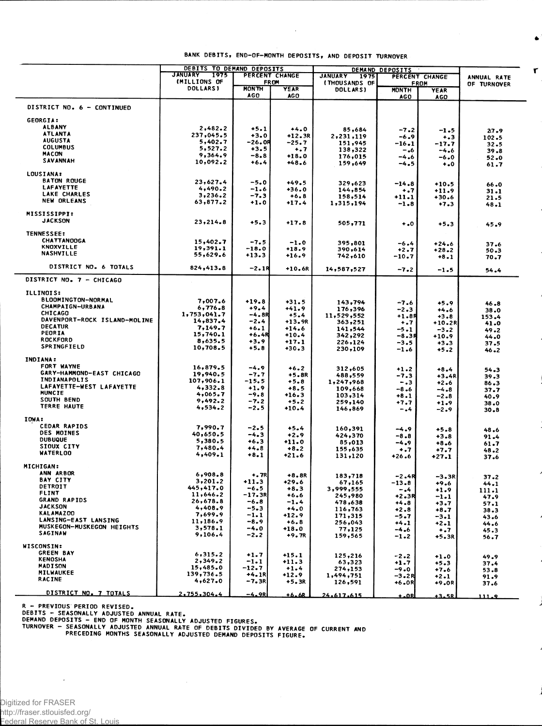|                                 | DEBITS TO DEMAND DEPOSITS       |                            |                    | DEMAND DEPOSITS        |                      |                    |                  |
|---------------------------------|---------------------------------|----------------------------|--------------------|------------------------|----------------------|--------------------|------------------|
|                                 | <b>JANUARY</b><br>1975          |                            | PERCENT CHANGE     | <b>JANUARY</b><br>1975 |                      | PERCENT CHANGE     | ANNUAL RATE      |
|                                 | (MILLIONS OF<br><b>DOLLARSI</b> |                            | <b>FROM</b>        | (THOUSANDS OF          |                      | <b>FROM</b>        | OF TURNOVER      |
|                                 |                                 | <b>MONTH</b><br><b>AGO</b> | YEAR<br><b>AGO</b> | <b>DOLLARS)</b>        | <b>MONTH</b><br>AG O | YEAR<br><b>AGO</b> |                  |
| DISTRICT NO. 6 - CONTINUED      |                                 |                            |                    |                        |                      |                    |                  |
| <b>GEORGIA:</b>                 |                                 |                            |                    |                        |                      |                    |                  |
| <b>ALBANY</b>                   | 2,482.2                         | $+5.1$                     | $+4.0$             | 85,684                 |                      |                    |                  |
| <b>ATLANTA</b>                  | 237,045.5                       | $+3.0$                     | $+12.3R$           | 2,231,119              | $-7.2$<br>$-6.9$     | -1.5               | 27.9             |
| <b>AUGUSTA</b>                  | 5,402.7                         | -26.OR                     | -25.7              | 151,945                | -16.1                | $+ - 3$            | 102.5            |
| <b>COLUMBUS</b>                 | 5,527.2                         | $+3.5$                     | +.7                | 138,322                | -.6                  | -17.7<br>$-4.6$    | $32 - 5$         |
| <b>MACON</b>                    | 9,364.9                         | -8.8                       | $+18.0$            | 176,015                | -4.6                 | -6.0               | $39 - 8$         |
| SAVANNAH                        | 10,092.2                        | $+6.4$                     | +48.6              | 159,649                | -4.5                 | $^{+0}$            | $52 - 0$<br>61.7 |
| <b>LOUSIANA:</b>                |                                 |                            |                    |                        |                      |                    |                  |
| <b>BATON ROUGE</b>              |                                 |                            |                    |                        |                      |                    |                  |
| LAFAYETTE                       | 23,627.4<br>4,490.2             | $-5.0$                     | $+49.5$            | 329,623                | $-14.8$              | $+10.5$            | 66.0             |
| LAKE CHARLES                    | 3,236.2                         | $-1.6$<br>$-7.3$           | +36.0              | 144,854                | ۰.7                  | $+11.9$            | $31 - 1$         |
| <b>NEW ORLEANS</b>              | 63,877.2                        | $+1.0$                     | $+6.8$<br>$+17.4$  | 158,514<br>1,315,194   | $+11.1$<br>$-1.8$    | $+30.6$<br>$+7.3$  | 21.5             |
|                                 |                                 |                            |                    |                        |                      |                    | 48.1             |
| <b>MISSISSIPPI:</b>             |                                 |                            |                    |                        |                      |                    |                  |
| <b>JACKSON</b>                  | 23,214.8                        | $+5.3$                     | $+17.8$            | 505,771                | $\ddotsc$            | $+5.3$             | 45.9             |
| <b>TENNESSEE:</b>               |                                 |                            |                    |                        |                      |                    |                  |
| <b>CHATTANOOGA</b>              | 15,402.7                        | $-7.5$                     | $-1.0$             |                        |                      |                    |                  |
| <b>KNOXVILLE</b>                | 19,391.1                        | $-18.0$                    | $+18.9$            | 395,801<br>390,614     | $-6.4$<br>$+2.7$     | $+24.6$            | 37.6             |
| <b>NASHVILLE</b>                | 55,629.6                        | $+13.3$                    | $+16.9$            | 742,610                | -10.7                | $+28.2$            | 50.3             |
|                                 |                                 |                            |                    |                        |                      | $+8.1$             | 70.7             |
| DISTRICT NO. 6 TOTALS           | 824,413.8                       | $-2.1R$                    | $+10.6R$           | 14,587,527             | $-7.2$               | $-1.5$             | 54.4             |
| DISTRICT NO. 7 - CHICAGO        |                                 |                            |                    |                        |                      |                    |                  |
| ILLINOIS:                       |                                 |                            |                    |                        |                      |                    |                  |
| BLOOMINGTON-NORMAL              | 7,007.6                         | $+19.8$                    | $+31.5$            | 143,794                | $-7.6$               |                    |                  |
| <b>CHAMPAIGN-URBANA</b>         | 6,776.8                         | $+9.4$                     | $+41.9$            | 176,396                |                      | $+5.9$             | 46.8             |
| CHICAGO                         | 1,753,041.7                     | -4.8R                      | $+5.4$             | 11,529,552             | -2.3<br>+1.8R        | $+4.6$             | 38.0             |
| DAVENPORT-ROCK ISLAND-MOLINE    | 14,837.4                        | -2.4                       | +13.9R             | 363,251                | $+ - 7$              | $+3.8$<br>+10.2R   | 153.4<br>41.0    |
| <b>DECATUR</b>                  | 7,149.7                         | $+6.1$                     | $+14.6$            | 141,544                | -5.1                 | $-3.2$             | 49.2             |
| PEORIA                          | 15,740.1                        | <b>+6.4R</b>               | $+10.4$            | 342,292                | -8.38                | $+10.9$            | 44.0             |
| <b>ROCKFORD</b>                 | 8,635.5                         | $+3.9$                     | $+17.1$            | 226,124                | -3.5                 | $+3.3$             | 37.5             |
| <b>SPRINGFIELD</b>              | 10,708.5                        | $+5.8$                     | +30.3              | 230,109                | $-1.6$               | $+5.2$             | 46.2             |
| <b>INDIANA:</b>                 |                                 |                            |                    |                        |                      |                    |                  |
| FORT WAYNE                      | 16,879.5                        | $-4.9$                     | $+6.2$             | 312,605                | $+1.2$               | $+8.4$             |                  |
| GARY-HAMMOND-EAST CHICAGO       | 19,940.5                        | -7.7                       | $+5.8R$            | 488,559                | -7.3                 | $+3.4R$            | 54.3<br>39.3     |
| <b>INDIANAPOLIS</b>             | 107,906.1                       | $-15.5$                    | $+5.8$             | 1,247,968              | $-0.3$               | $+2.6$             | 86.3             |
| <b>LAFAYETTE-WEST LAFAYETTE</b> | 4,332.8                         | $+1.9$                     | $+8.5$             | 109,668                | -8.6                 | $-4.8$             | 37.7             |
| MUNCIE                          | 4,065.7                         | $-9.8$                     | +16.3              | 103,314                | $+8.1$               | $-2.8$             | 40.9             |
| SOUTH BEND                      | 9,492.2                         | $-7.2$                     | $+5.2$             | 259,140                | $+7.7$               | $+1.9$             | 38.0             |
| <b>TERRE HAUTE</b>              | 4,534.2                         | -2.5                       | $+10.4$            | 146,869                | -.4                  | $-2.9$             | 30.8             |
| IOWA:                           |                                 |                            |                    |                        |                      |                    |                  |
| <b>CEDAR RAPIDS</b>             | 7,990.7                         | $-2.5$                     | $+5.4$             |                        |                      |                    |                  |
| <b>DES MOINES</b>               | 40,650.5                        | $-4.3$                     | $+2.9$             | 160,391                | -4.9                 | $+5.8$             | 48.6             |
| <b>DUBUQUE</b>                  | 5,380.5                         | $+6.3$                     | $+11.0$            | 424,370<br>85,013      | -8.8                 | $+3.8$             | 91.4             |
| <b>SIOUX CITY</b>               | 7,480.4                         | $+4.8$                     | $+8.2$             |                        | -4.9                 | $+8.6$             | 61.7             |
| <b>WATERLOO</b>                 | 4,409.1                         | $+8.1$                     | $+21.6$            | 155,635<br>131,120     | $+ .7$<br>+26.6      | $+7.7$<br>+27.1    | 48.2<br>37.6     |
|                                 |                                 |                            |                    |                        |                      |                    |                  |
| MICHIGAN:                       |                                 |                            |                    |                        |                      |                    |                  |
| ANN ARBOR                       | 6,908.8                         | $+ .7R$                    | $+8.8R$            | 183,718                | -2.4R                | -3.3R              | 37.2             |
| <b>BAY CITY</b>                 | 3,201.2                         | $+11.3$                    | $+29.6$            | 67,165                 | -13.8                | $+9.6$             | 44.1             |
| DETROIT                         | 445,417.0                       | $-6.5$                     | $+8.3$             | 3,999,555              | -.4                  | +1.9               | 111.1            |
| <b>FLINT</b>                    | 11,646.2                        | –17.3R                     | $+6.6$             | 245,980                | +2.3R                | -1.1               | 47.9             |
| GRAND RAPIDS<br><b>JACKSON</b>  | 26,678.8                        | $-6.8$                     | -1.4               | 478,638                | +4.8                 | +3.7               | 57.1             |
| <b>KALAMAZOO</b>                | 4,408.9                         | $-5.3$                     | $+4.0$             | 116,763                | $+2.8$               | $+8.7$             | $38 - 3$         |
| LANSING-EAST LANSING            | 7,699.9                         | $-1.1$                     | +12.9              | 171,315                | $-5.7$               | -3.1               | 43.6             |
| MUSKEGON-MUSKEGON HEIGHTS       | 11,186.9<br>3,578.1             | $-8.9$<br>$-4.0$           | $+6.8$             | 256,043                | $+4.1$               | $+2.1$             | 44.6             |
| <b>SAGINAW</b>                  | 9,106.4                         | $-2.2$                     | $+18.0$<br>$+9.7R$ | 77,125<br>159,565      | $-4.6$<br>$-1.2$     | $+1.7$<br>+5.3R    | 45.3<br>56.7     |
| <b>WISCONSIN:</b>               |                                 |                            |                    |                        |                      |                    |                  |
| <b>GREEN BAY</b>                | 6,315.2                         | $+1.7$                     |                    |                        |                      |                    |                  |
| <b>KENOSHA</b>                  | 2,349.2                         | $-1.1$                     | $+15.1$            | 125,216                | $-2.2$               | $+1.0$             | 49.9             |
| <b>MADISON</b>                  | 15,485.0                        | $-12.7$                    | $+11.3$<br>$+1.4$  | 63,323                 | $+1.7$               | $+5.3$             | 37.4             |
| <b>MILWAUKEE</b>                | 139,736.5                       | $+4.1R$                    | $+12.9$            | 274,153<br>1,494,751   | $-9.0$               | $+7.6$             | 53.8             |
| <b>RACINE</b>                   | 4,627.0                         | $-7.3R$                    | $+5.3R$            | 126,591                | -3.2R<br>$+6.0R$     | $+2.1$<br>+9.OR    | 91.9             |
|                                 |                                 |                            |                    |                        |                      |                    | 37.6             |
| DISTRICT NO. 7 TOTALS           | 2,755,304.4                     | $-4.9R$                    | $+6.68$            | 24.617.615             | ±_QR                 | $+3.5R$            | 111.9            |

 $\bar{z}$ 

 $\bullet$ 

 $\pmb{\mathsf{r}}$ 

J,

 $\ddot{\phantom{a}}$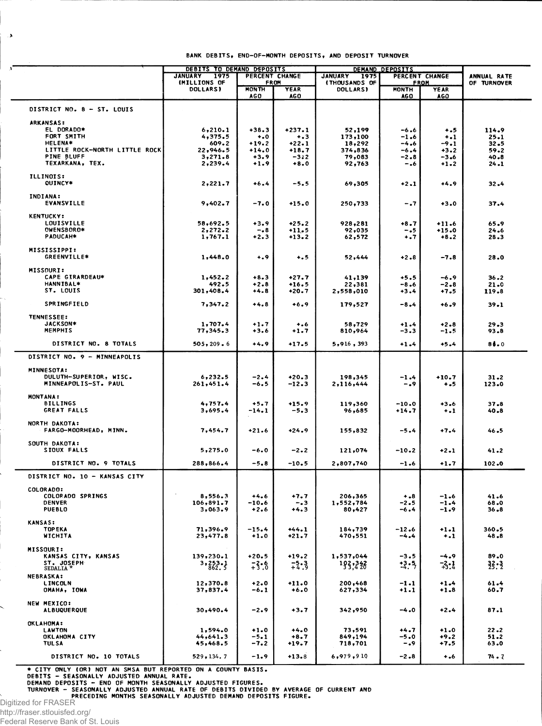|                                       | DEBITS TO DEMAND DEPOSITS<br><b>JANUARY</b><br>1975 | PERCENT CHANGE             |                              | DEMAND DEPOSITS<br><b>JANUARY</b><br>PERCENT CHANGE<br>1975 |                      |                    | ANNUAL RATE      |
|---------------------------------------|-----------------------------------------------------|----------------------------|------------------------------|-------------------------------------------------------------|----------------------|--------------------|------------------|
|                                       | (MILLIONS OF<br>FROM                                |                            | <b>(THOUSANDS OF</b><br>FROM |                                                             |                      | OF TURNOVER        |                  |
|                                       | <b>DOLLARS)</b>                                     | <b>MONTH</b><br><b>AGO</b> | <b>YEAR</b><br><b>AGO</b>    | <b>DOLLARS)</b>                                             | <b>MONTH</b><br>AG O | <b>YEAR</b><br>AGO |                  |
| DISTRICT NO. 8 - ST. LOUIS            |                                                     |                            |                              |                                                             |                      |                    |                  |
| <b>ARKANSAS:</b>                      |                                                     |                            |                              |                                                             |                      |                    |                  |
| EL DORADO*                            | 6,210.1                                             | $+38.3$                    | $+237.1$                     | 52,199                                                      | -6.6                 | $+ 0.5$            | 114.9            |
| FORT SMITH                            | 4,375.5                                             | $\ddotsc$                  | $+ 3 3 $                     | 173,100                                                     | -1.6                 | $+ -1$             | 25.1             |
| <b>HELENA*</b>                        | 609.2                                               | $+19.2$                    | $+22.1$                      | 18,292                                                      | -4.6                 | -9.1               | 32.5             |
| LITTLE ROCK-NORTH LITTLE ROCK         | 22,946.5                                            | +14.0                      | $+18.7$                      | 374,836                                                     | -6.4                 | $+3.2$             | 59.2             |
| <b>PINE BLUFF</b><br>TEXARKANA, TEX.  | 3,271.8<br>2,239.4                                  | $+3.9$<br>$+1.9$           | $-3:2$<br>$+8.0$             | 79,083<br>92,763                                            | $-2.8$<br>$-0.6$     | -3.6<br>$+1.2$     | 40.8<br>$24 - 1$ |
| <b>ILLINOIS:</b><br>OUINCY*           | 2,221.7                                             | $+6.4$                     | -5.5                         | 69,305                                                      | $+2.1$               | $+4.9$             | 32.4             |
| INDIANA:                              |                                                     |                            |                              |                                                             |                      |                    |                  |
| EVANSVILLE                            | 9,402.7                                             | $-7.0$                     | $+15.0$                      | 250,733                                                     | $-1.7$               | $+3.0$             | 37.4             |
| <b>KENTUCKY:</b><br><b>LOUISVILLE</b> | 58,692.5                                            | $+3.9$                     | $+25.2$                      | 928,281                                                     | +8.7                 | $+11.6$            | 65.9             |
| OWENSBORO*                            | 2,272.2                                             | -.8                        | $+11.5$                      | 92,035                                                      | - - 5                | $+15.0$            | 24.6             |
| PADUCAH*                              | 1,767.1                                             | $+2.3$                     | $+13.2$                      | 62,572                                                      | $+ 1.7$              | $+8.2$             | 28.3             |
| <b>MISSISSIPPI:</b><br>GREENVILLE*    | 1,448.0                                             | $\dots$                    | $+ 5$                        | 52,444                                                      | $+2.8$               | -7.8               | 28.0             |
|                                       |                                                     |                            |                              |                                                             |                      |                    |                  |
| <b>MISSOURI:</b><br>CAPE GIRARDEAU*   | 1,452.2                                             | $+8.3$                     | $+27.7$                      | 41,139                                                      | +5.5                 | -6.9               | $36 - 2$         |
| HANNIBAL*                             | 492.5                                               | $+2.8$                     | $+16.5$                      | 22,381                                                      | $-8.6$               | $-2.8$             | 21.0             |
| ST. LOUIS                             | 301,408.4                                           | $+4.8$                     | $+20.7$                      | 2,558,010                                                   | +3.4                 | $+7.5$             | 119.8            |
| SPRINGFIELD                           | 7,347.2                                             | $+4.8$                     | $+6.9$                       | 179,527                                                     | $-8 - 4$             | $+6.9$             | 39.1             |
| TENNESSEE:                            |                                                     |                            |                              |                                                             |                      |                    |                  |
| <b>JACKSON*</b><br><b>MEMPHIS</b>     | 1,707.4<br>77,345.3                                 | $+1.7$<br>+3.6             | $+ . 6$<br>$+1.7$            | 58,729<br>810,964                                           | +1.4<br>-3.3         | $+2.8$<br>-1.5     | 29.3<br>93.8     |
|                                       |                                                     |                            |                              |                                                             |                      |                    |                  |
| DISTRICT NO. 8 TOTALS                 | 505, 209.6                                          | +4.9                       | $+17.5$                      | 5,916,393                                                   | $+1.4$               | $+5.4$             | 86.0             |
| DISTRICT NO. 9 - MINNEAPOLIS          |                                                     |                            |                              |                                                             |                      |                    |                  |
| <b>MINNESOTA:</b>                     |                                                     |                            |                              |                                                             |                      |                    |                  |
| DULUTH-SUPERIOR, WISC.                | 6,232.5                                             | $-2.4$                     | $+20.3$                      | 198,345                                                     | $-1.4$               | $+10.7$            | $31 - 2$         |
| MINNEAPOLIS-ST. PAUL                  | 261,451.4                                           | -6.5                       | $-12.3$                      | 2,116,444                                                   | -.9                  | $+ .5$             | 123.0            |
| <b>MONTANA:</b>                       |                                                     |                            |                              |                                                             |                      |                    |                  |
| <b>BILLINGS</b>                       | 4,757.4                                             | +5.7                       | $+15.9$                      | 119,360                                                     | $-10.0$              | $+3.6$             | 37.8             |
| GREAT FALLS                           | 3,695.4                                             | $-14.1$                    | -5.3                         | 96,685                                                      | $+14.7$              | $\ddotsc$          | 40.8             |
| NORTH DAKOTA:                         |                                                     |                            |                              |                                                             |                      |                    |                  |
| FARGO-MOORHEAD, MINN.                 | 7,454.7                                             | $+21.6$                    | $+24.9$                      | 155,832                                                     | $-5.4$               | $+7.4$             | 46.5             |
| SOUTH DAKOTA:<br>SIOUX FALLS          | 5,275.0                                             | -6.0                       | -2.2                         | 121,074                                                     | $-10.2$              | $+2.1$             | 41.2             |
| DISTRICT NO. 9 TOTALS                 | 288,866.4                                           | $-5.8$                     | $-10.5$                      | 2,807,740                                                   | $-1.6$               | $+1.7$             | 102.0            |
| DISTRICT NO. 10 - KANSAS CITY         |                                                     |                            |                              |                                                             |                      |                    |                  |
| <b>COLORADO:</b>                      |                                                     |                            |                              |                                                             |                      |                    |                  |
| COLORADO SPRINGS                      | 8,556.3                                             | +4.6                       | $+7.7$                       | 206,365                                                     | $+ -8$               | $-1.6$             | 41.6             |
| <b>DENVER</b>                         | 106,891.7                                           | $-10.6$                    | $-0.3$                       | 1,552,784                                                   | $-2.5$               | $-1.4$             | 68.0             |
| <b>PUEBLO</b>                         | 3,063.9                                             | $+2.6$                     | $+4.3$                       | 80,427                                                      | $-6.4$               | $-1.9$             | $36 - 8$         |
| <b>KANSAS:</b>                        |                                                     |                            |                              |                                                             |                      |                    |                  |
| <b>TOPEKA</b>                         | 71,396.9                                            | $-15.4$                    | $+44.1$                      | 184,739                                                     | $-12.6$              | $+1.1$             | 360.5            |
| <b>WICHITA</b>                        | 23,477.8                                            | $+1.0$                     | $+21.7$                      | 470,551                                                     | $-4.4$               | $+1$               | 48.8             |
| <b>MISSOURI:</b>                      |                                                     |                            |                              |                                                             |                      |                    |                  |
| KANSAS CITY, KANSAS                   | 139,230.1                                           | $+20.5$                    | $+19.2$                      | 1,537,044                                                   | $-3.5$               | $-4.9$             | 89.0             |
| ST. JOSEPH<br>SEDALIA <sup>'</sup>    | 3, 253.1                                            | 73.6                       | $-2.3$                       | 193.328                                                     | $-3.5$               | $-3:1$             | 33:3             |
| <b>NEBRASKA:</b>                      |                                                     |                            |                              |                                                             |                      |                    |                  |
| <b>LINCOLN</b>                        | 12,370.8                                            | $+2.0$                     | $+11.0$                      | 200,468                                                     | $-1.1$               | $+1.4$             | 61.4             |
| OMAHA, IOWA                           | 37,837.4                                            | $-6.1$                     | $+6.0$                       | 627,334                                                     | $+1.1$               | $+1.8$             | 60.7             |
| NEW MEXICO:<br><b>ALBUQUERQUE</b>     | 30,490.4                                            | $-2.9$                     | $+3.7$                       | 342,950                                                     | $-4.0$               | $+2.4$             | 87.1             |
|                                       |                                                     |                            |                              |                                                             |                      |                    |                  |
|                                       |                                                     |                            |                              |                                                             |                      |                    |                  |
| <b>OKLAHOMA:</b><br><b>LAWTON</b>     |                                                     |                            | $+4.0$                       |                                                             | $+4.7$               | $+1.0$             | $22 - 2$         |
| OKLAHOMA CITY                         | 1,594.0<br>44,641.3                                 | $+1.0$<br>$-5.1$           | $+8.7$                       | 73,591<br>849,194                                           | $-5.0$               | $+9.2$             | 51.2             |
| <b>TUL SA</b>                         | 45,468.5                                            | $-7.2$                     | $+19.7$                      | 718,701                                                     | -.9                  | +7.5               | 63.0             |

\* CITY ONLY (OR) NOT AN SMSA BUT REPORTED ON A COUNTY BASIS.<br>DEBITS - SEASONALLY ADJUSTED ANNUAL RATE.<br>TURNOVER - SEASONALLY ADJUSTED ANNUAL RATE.<br>TURNOVER - SEASONALLY ADJUSTED ANNUAL RATE OF DEBITS DIVIDED BY AVERAGE OF

Digitized for FRASER

 $\overline{a}$ 

Ļ,

 $\overline{\phantom{0}}$ 

http://fraser.stlouisfed.org/

Federal Reserve Bank of St. Louis